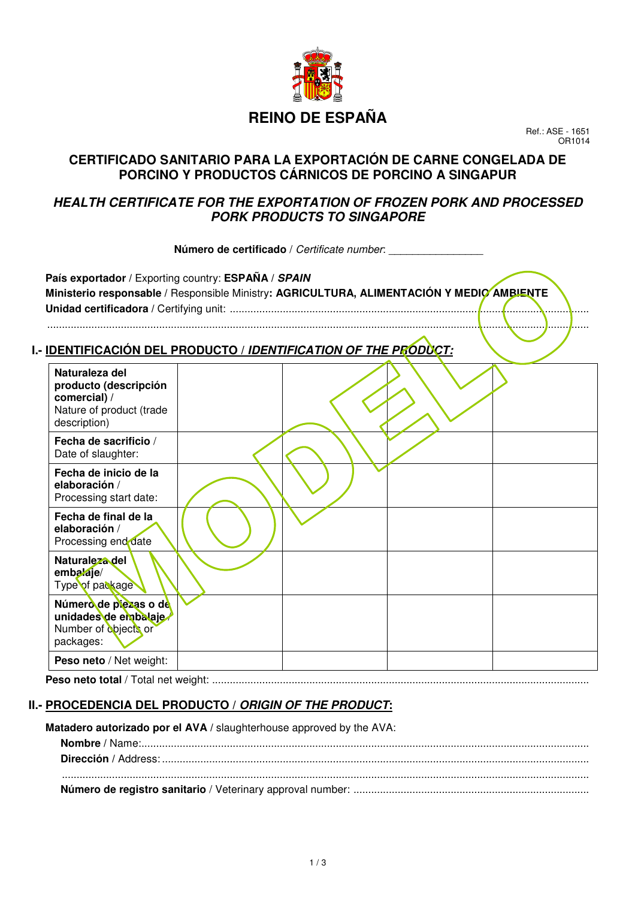

# **REINO DE ESPAÑA**

Ref.: ASE - 1651 OR1014

## **CERTIFICADO SANITARIO PARA LA EXPORTACIÓN DE CARNE CONGELADA DE PORCINO Y PRODUCTOS CÁRNICOS DE PORCINO A SINGAPUR**

## **HEALTH CERTIFICATE FOR THE EXPORTATION OF FROZEN PORK AND PROCESSED PORK PRODUCTS TO SINGAPORE**

 **Número de certificado** / Certificate number: \_\_\_\_\_\_\_\_\_\_\_\_\_\_\_\_

**País exportador /** Exporting country: **ESPAÑA / SPAIN Ministerio responsable /** Responsible Ministry**: AGRICULTURA, ALIMENTACIÓN Y MEDIO AMBIENTE Unidad certificadora /** Certifying unit: .......................................................................................................................... ........................................................................................................................................................................................

#### **I.- IDENTIFICACIÓN DEL PRODUCTO / IDENTIFICATION OF THE PRODUCT:**

| Naturaleza del<br>producto (descripción<br>comercial) /<br>Nature of product (trade<br>description) |  |  |
|-----------------------------------------------------------------------------------------------------|--|--|
| Fecha de sacrificio /<br>Date of slaughter:                                                         |  |  |
| Fecha de inicio de la<br>elaboración /<br>Processing start date:                                    |  |  |
| Fecha de final de la<br>elaboración /<br>Processing end date                                        |  |  |
| Naturaleza del<br>embalaje/<br>Type of package                                                      |  |  |
| Número de piezas o de<br>unidades de embalaje<br>Number of objects or<br>packages:                  |  |  |
| Peso neto / Net weight:                                                                             |  |  |

**Peso neto total** / Total net weight: ................................................................................................................................

#### **II.- PROCEDENCIA DEL PRODUCTO / ORIGIN OF THE PRODUCT:**

**Matadero autorizado por el AVA /** slaughterhouse approved by the AVA: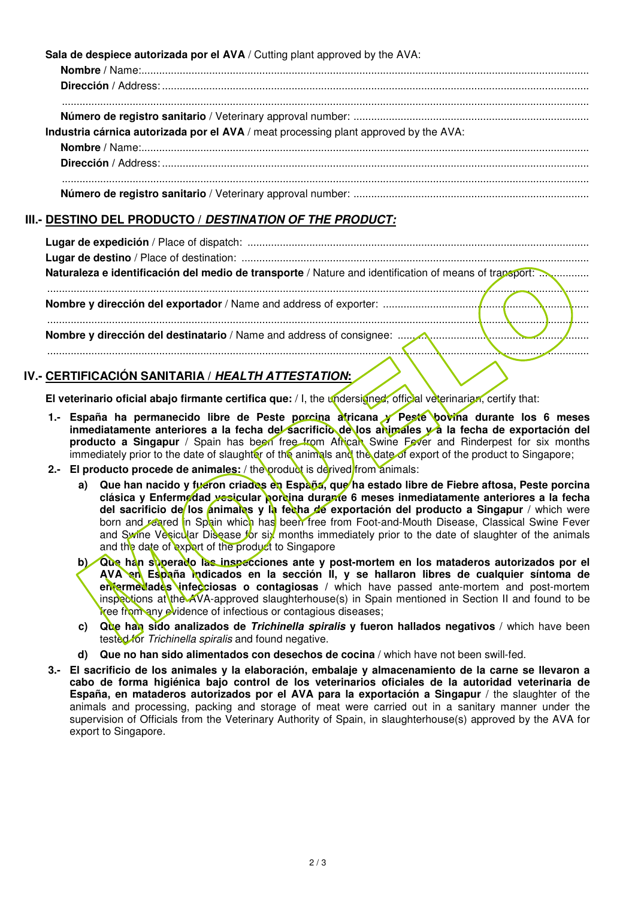**Sala de despiece autorizada por el AVA** / Cutting plant approved by the AVA:

| Industria cárnica autorizada por el AVA / meat processing plant approved by the AVA: |
|--------------------------------------------------------------------------------------|
|                                                                                      |
|                                                                                      |
|                                                                                      |
|                                                                                      |

#### **III.- DESTINO DEL PRODUCTO / DESTINATION OF THE PRODUCT:**

#### **IV.- CERTIFICACIÓN SANITARIA / HEALTH ATTESTATION:**

**El veterinario oficial abajo firmante certifica que:** / I, the undersigned, official veterinarian, certify that:

- **1.- España ha permanecido libre de Peste porcina africana y Peste bovina durante los 6 meses**  inmediatamente anteriores a la fecha del sacrificio de los animales y a la fecha de exportación del producto a Singapur / Spain has been free from African Swine Fever and Rinderpest for six months immediately prior to the date of slaughter of the animals and the date of export of the product to Singapore;
- **2.- El producto procede de animales:** / the product is derived from animals:
	- a) Que han nacido y fueron criados en España, que ha estado libre de Fiebre aftosa, Peste porcina **clásica y Enfermedad vesicular porcina durante 6 meses inmediatamente anteriores a la fecha del sacrificio de los animales y la fecha de exportación del producto a Singapur / which were** born and reared in Spain which has been free from Foot-and-Mouth Disease, Classical Swine Fever and Swine Vesicular Disease for six months immediately prior to the date of slaughter of the animals and the date of export of the product to Singapore
	- Que han superado las inspecciones ante y post-mortem en los mataderos autorizados por el AVA en España indicados en la sección II, y se hallaron libres de cualquier síntoma de **enfermedades infecciosas o contagiosas /** which have passed ante-mortem and post-mortem inspections at the AVA-approved slaughterhouse(s) in Spain mentioned in Section II and found to be free from any evidence of infectious or contagious diseases;
	- **c) Que han sido analizados de Trichinella spiralis y fueron hallados negativos** / which have been tested for Trichinella spiralis and found negative.
	- **d) Que no han sido alimentados con desechos de cocina** / which have not been swill-fed.
- **3.- El sacrificio de los animales y la elaboración, embalaje y almacenamiento de la carne se llevaron a cabo de forma higiénica bajo control de los veterinarios oficiales de la autoridad veterinaria de España, en mataderos autorizados por el AVA para la exportación a Singapur** / the slaughter of the animals and processing, packing and storage of meat were carried out in a sanitary manner under the supervision of Officials from the Veterinary Authority of Spain, in slaughterhouse(s) approved by the AVA for export to Singapore.